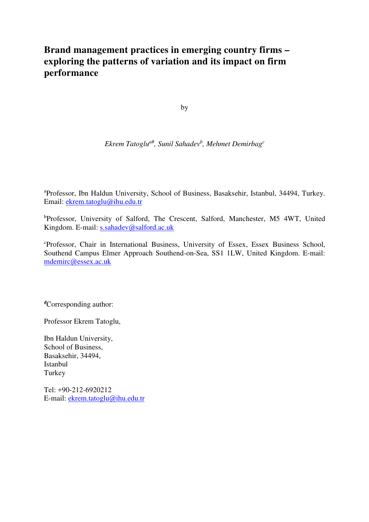## **Brand management practices in emerging country firms – exploring the patterns of variation and its impact on firm performance**

by

*Ekrem Tatoglua#, Sunil Sahadev<sup>b</sup> , Mehmet Demirbag<sup>c</sup>*

<sup>a</sup>Professor, Ibn Haldun University, School of Business, Basaksehir, Istanbul, 34494, Turkey. Email: ekrem.tatoglu@ihu.edu.tr

<sup>b</sup>Professor, University of Salford, The Crescent, Salford, Manchester, M5 4WT, United Kingdom. E-mail: s.sahadev@salford.ac.uk

<sup>c</sup>Professor, Chair in International Business, University of Essex, Essex Business School, Southend Campus Elmer Approach Southend-on-Sea, SS1 1LW, United Kingdom. E-mail: mdemirc@essex.ac.uk

*#*Corresponding author:

Professor Ekrem Tatoglu,

Ibn Haldun University, School of Business, Basaksehir, 34494, Istanbul Turkey

Tel: +90-212-6920212 E-mail: ekrem.tatoglu@ihu.edu.tr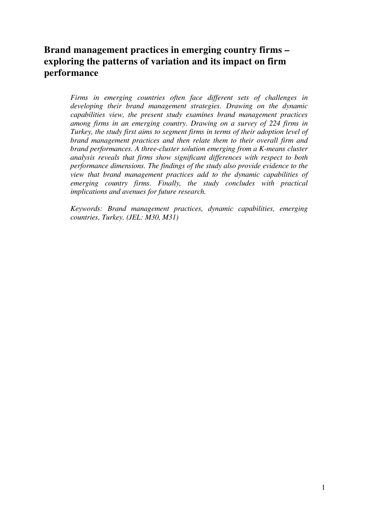# **Brand management practices in emerging country firms – exploring the patterns of variation and its impact on firm performance**

*Firms in emerging countries often face different sets of challenges in developing their brand management strategies. Drawing on the dynamic capabilities view, the present study examines brand management practices among firms in an emerging country. Drawing on a survey of 224 firms in Turkey, the study first aims to segment firms in terms of their adoption level of brand management practices and then relate them to their overall firm and brand performances. A three-cluster solution emerging from a K-means cluster analysis reveals that firms show significant differences with respect to both performance dimensions. The findings of the study also provide evidence to the view that brand management practices add to the dynamic capabilities of emerging country firms. Finally, the study concludes with practical implications and avenues for future research.* 

*Keywords: Brand management practices, dynamic capabilities, emerging countries, Turkey. (JEL: M30, M31)*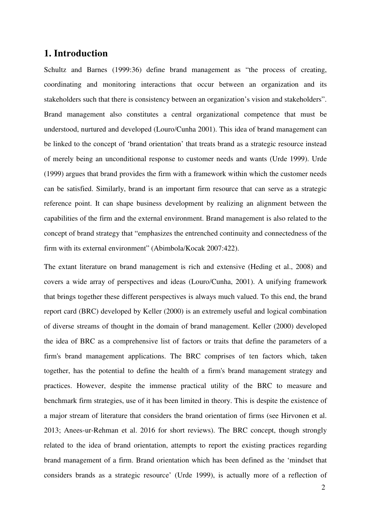## **1. Introduction**

Schultz and Barnes (1999:36) define brand management as "the process of creating, coordinating and monitoring interactions that occur between an organization and its stakeholders such that there is consistency between an organization's vision and stakeholders". Brand management also constitutes a central organizational competence that must be understood, nurtured and developed (Louro/Cunha 2001). This idea of brand management can be linked to the concept of 'brand orientation' that treats brand as a strategic resource instead of merely being an unconditional response to customer needs and wants (Urde 1999). Urde (1999) argues that brand provides the firm with a framework within which the customer needs can be satisfied. Similarly, brand is an important firm resource that can serve as a strategic reference point. It can shape business development by realizing an alignment between the capabilities of the firm and the external environment. Brand management is also related to the concept of brand strategy that "emphasizes the entrenched continuity and connectedness of the firm with its external environment" (Abimbola/Kocak 2007:422).

The extant literature on brand management is rich and extensive (Heding et al., 2008) and covers a wide array of perspectives and ideas (Louro/Cunha, 2001). A unifying framework that brings together these different perspectives is always much valued. To this end, the brand report card (BRC) developed by Keller (2000) is an extremely useful and logical combination of diverse streams of thought in the domain of brand management. Keller (2000) developed the idea of BRC as a comprehensive list of factors or traits that define the parameters of a firm's brand management applications. The BRC comprises of ten factors which, taken together, has the potential to define the health of a firm's brand management strategy and practices. However, despite the immense practical utility of the BRC to measure and benchmark firm strategies, use of it has been limited in theory. This is despite the existence of a major stream of literature that considers the brand orientation of firms (see Hirvonen et al. 2013; Anees-ur-Rehman et al. 2016 for short reviews). The BRC concept, though strongly related to the idea of brand orientation, attempts to report the existing practices regarding brand management of a firm. Brand orientation which has been defined as the 'mindset that considers brands as a strategic resource' (Urde 1999), is actually more of a reflection of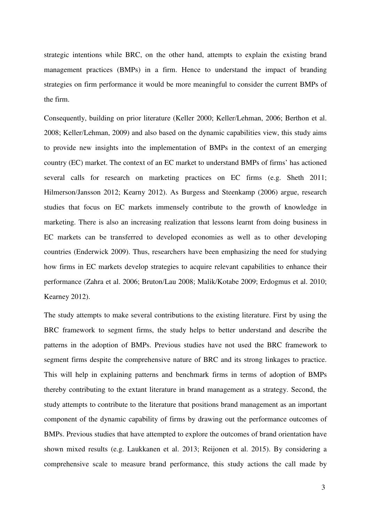strategic intentions while BRC, on the other hand, attempts to explain the existing brand management practices (BMPs) in a firm. Hence to understand the impact of branding strategies on firm performance it would be more meaningful to consider the current BMPs of the firm.

Consequently, building on prior literature (Keller 2000; Keller/Lehman, 2006; Berthon et al. 2008; Keller/Lehman, 2009) and also based on the dynamic capabilities view, this study aims to provide new insights into the implementation of BMPs in the context of an emerging country (EC) market. The context of an EC market to understand BMPs of firms' has actioned several calls for research on marketing practices on EC firms (e.g. Sheth 2011; Hilmerson/Jansson 2012; Kearny 2012). As Burgess and Steenkamp (2006) argue, research studies that focus on EC markets immensely contribute to the growth of knowledge in marketing. There is also an increasing realization that lessons learnt from doing business in EC markets can be transferred to developed economies as well as to other developing countries (Enderwick 2009). Thus, researchers have been emphasizing the need for studying how firms in EC markets develop strategies to acquire relevant capabilities to enhance their performance (Zahra et al. 2006; Bruton/Lau 2008; Malik/Kotabe 2009; Erdogmus et al. 2010; Kearney 2012).

The study attempts to make several contributions to the existing literature. First by using the BRC framework to segment firms, the study helps to better understand and describe the patterns in the adoption of BMPs. Previous studies have not used the BRC framework to segment firms despite the comprehensive nature of BRC and its strong linkages to practice. This will help in explaining patterns and benchmark firms in terms of adoption of BMPs thereby contributing to the extant literature in brand management as a strategy. Second, the study attempts to contribute to the literature that positions brand management as an important component of the dynamic capability of firms by drawing out the performance outcomes of BMPs. Previous studies that have attempted to explore the outcomes of brand orientation have shown mixed results (e.g. Laukkanen et al. 2013; Reijonen et al. 2015). By considering a comprehensive scale to measure brand performance, this study actions the call made by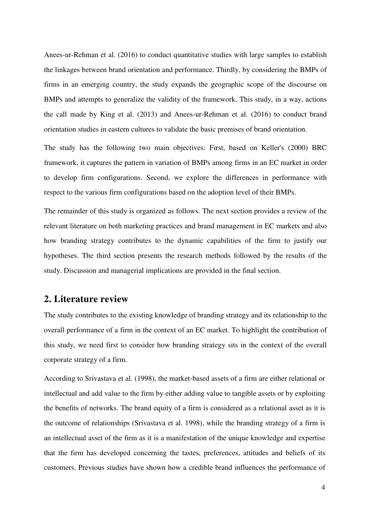Anees-ur-Rehman et al. (2016) to conduct quantitative studies with large samples to establish the linkages between brand orientation and performance. Thirdly, by considering the BMPs of firms in an emerging country, the study expands the geographic scope of the discourse on BMPs and attempts to generalize the validity of the framework. This study, in a way, actions the call made by King et al. (2013) and Anees-ur-Rehman et al. (2016) to conduct brand orientation studies in eastern cultures to validate the basic premises of brand orientation.

The study has the following two main objectives: First, based on Keller's (2000) BRC framework, it captures the pattern in variation of BMPs among firms in an EC market in order to develop firm configurations. Second, we explore the differences in performance with respect to the various firm configurations based on the adoption level of their BMPs.

The remainder of this study is organized as follows. The next section provides a review of the relevant literature on both marketing practices and brand management in EC markets and also how branding strategy contributes to the dynamic capabilities of the firm to justify our hypotheses. The third section presents the research methods followed by the results of the study. Discussion and managerial implications are provided in the final section.

## **2. Literature review**

The study contributes to the existing knowledge of branding strategy and its relationship to the overall performance of a firm in the context of an EC market. To highlight the contribution of this study, we need first to consider how branding strategy sits in the context of the overall corporate strategy of a firm.

According to Srivastava et al. (1998), the market-based assets of a firm are either relational or intellectual and add value to the firm by either adding value to tangible assets or by exploiting the benefits of networks. The brand equity of a firm is considered as a relational asset as it is the outcome of relationships (Srivastava et al. 1998), while the branding strategy of a firm is an intellectual asset of the firm as it is a manifestation of the unique knowledge and expertise that the firm has developed concerning the tastes, preferences, attitudes and beliefs of its customers. Previous studies have shown how a credible brand influences the performance of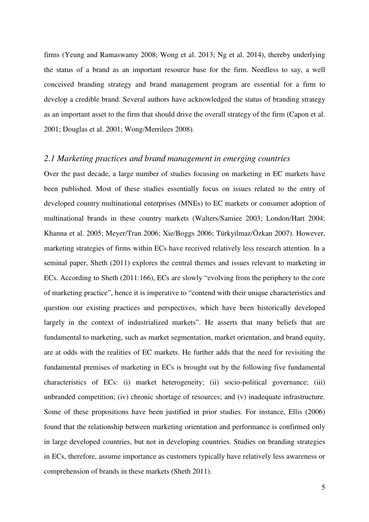firms (Yeung and Ramaswamy 2008; Wong et al. 2013; Ng et al. 2014), thereby underlying the status of a brand as an important resource base for the firm. Needless to say, a well conceived branding strategy and brand management program are essential for a firm to develop a credible brand. Several authors have acknowledged the status of branding strategy as an important asset to the firm that should drive the overall strategy of the firm (Capon et al. 2001; Douglas et al. 2001; Wong/Merrilees 2008).

#### *2.1 Marketing practices and brand management in emerging countries*

Over the past decade, a large number of studies focusing on marketing in EC markets have been published. Most of these studies essentially focus on issues related to the entry of developed country multinational enterprises (MNEs) to EC markets or consumer adoption of multinational brands in these country markets (Walters/Samiee 2003; London/Hart 2004; Khanna et al. 2005; Meyer/Tran 2006; Xie/Boggs 2006; Türkyilmaz/Özkan 2007). However, marketing strategies of firms within ECs have received relatively less research attention. In a seminal paper, Sheth (2011) explores the central themes and issues relevant to marketing in ECs. According to Sheth (2011:166), ECs are slowly "evolving from the periphery to the core of marketing practice", hence it is imperative to "contend with their unique characteristics and question our existing practices and perspectives, which have been historically developed largely in the context of industrialized markets". He asserts that many beliefs that are fundamental to marketing, such as market segmentation, market orientation, and brand equity, are at odds with the realities of EC markets. He further adds that the need for revisiting the fundamental premises of marketing in ECs is brought out by the following five fundamental characteristics of ECs: (i) market heterogeneity; (ii) socio-political governance; (iii) unbranded competition; (iv) chronic shortage of resources; and (v) inadequate infrastructure. Some of these propositions have been justified in prior studies. For instance, Ellis (2006) found that the relationship between marketing orientation and performance is confirmed only in large developed countries, but not in developing countries. Studies on branding strategies in ECs, therefore, assume importance as customers typically have relatively less awareness or comprehension of brands in these markets (Sheth 2011).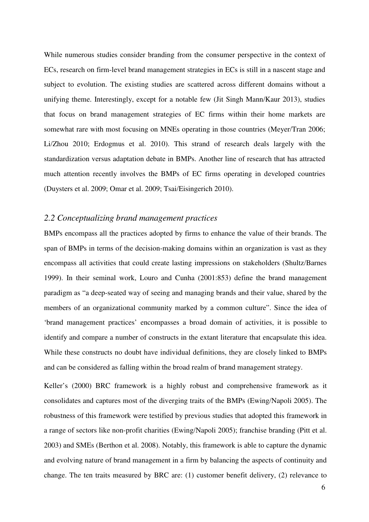While numerous studies consider branding from the consumer perspective in the context of ECs, research on firm-level brand management strategies in ECs is still in a nascent stage and subject to evolution. The existing studies are scattered across different domains without a unifying theme. Interestingly, except for a notable few (Jit Singh Mann/Kaur 2013), studies that focus on brand management strategies of EC firms within their home markets are somewhat rare with most focusing on MNEs operating in those countries (Meyer/Tran 2006; Li/Zhou 2010; Erdogmus et al. 2010). This strand of research deals largely with the standardization versus adaptation debate in BMPs. Another line of research that has attracted much attention recently involves the BMPs of EC firms operating in developed countries (Duysters et al. 2009; Omar et al. 2009; Tsai/Eisingerich 2010).

#### *2.2 Conceptualizing brand management practices*

BMPs encompass all the practices adopted by firms to enhance the value of their brands. The span of BMPs in terms of the decision-making domains within an organization is vast as they encompass all activities that could create lasting impressions on stakeholders (Shultz/Barnes 1999). In their seminal work, Louro and Cunha (2001:853) define the brand management paradigm as "a deep-seated way of seeing and managing brands and their value, shared by the members of an organizational community marked by a common culture". Since the idea of 'brand management practices' encompasses a broad domain of activities, it is possible to identify and compare a number of constructs in the extant literature that encapsulate this idea. While these constructs no doubt have individual definitions, they are closely linked to BMPs and can be considered as falling within the broad realm of brand management strategy.

Keller's (2000) BRC framework is a highly robust and comprehensive framework as it consolidates and captures most of the diverging traits of the BMPs (Ewing/Napoli 2005). The robustness of this framework were testified by previous studies that adopted this framework in a range of sectors like non-profit charities (Ewing/Napoli 2005); franchise branding (Pitt et al. 2003) and SMEs (Berthon et al. 2008). Notably, this framework is able to capture the dynamic and evolving nature of brand management in a firm by balancing the aspects of continuity and change. The ten traits measured by BRC are: (1) customer benefit delivery, (2) relevance to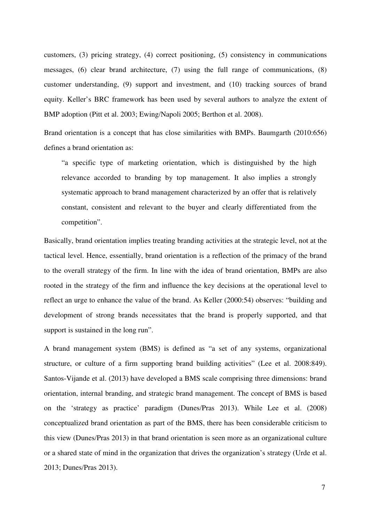customers, (3) pricing strategy, (4) correct positioning, (5) consistency in communications messages, (6) clear brand architecture, (7) using the full range of communications, (8) customer understanding, (9) support and investment, and (10) tracking sources of brand equity. Keller's BRC framework has been used by several authors to analyze the extent of BMP adoption (Pitt et al. 2003; Ewing/Napoli 2005; Berthon et al. 2008).

Brand orientation is a concept that has close similarities with BMPs. Baumgarth (2010:656) defines a brand orientation as:

"a specific type of marketing orientation, which is distinguished by the high relevance accorded to branding by top management. It also implies a strongly systematic approach to brand management characterized by an offer that is relatively constant, consistent and relevant to the buyer and clearly differentiated from the competition".

Basically, brand orientation implies treating branding activities at the strategic level, not at the tactical level. Hence, essentially, brand orientation is a reflection of the primacy of the brand to the overall strategy of the firm. In line with the idea of brand orientation, BMPs are also rooted in the strategy of the firm and influence the key decisions at the operational level to reflect an urge to enhance the value of the brand. As Keller (2000:54) observes: "building and development of strong brands necessitates that the brand is properly supported, and that support is sustained in the long run".

A brand management system (BMS) is defined as "a set of any systems, organizational structure, or culture of a firm supporting brand building activities" (Lee et al. 2008:849). Santos-Vijande et al. (2013) have developed a BMS scale comprising three dimensions: brand orientation, internal branding, and strategic brand management. The concept of BMS is based on the 'strategy as practice' paradigm (Dunes/Pras 2013). While Lee et al. (2008) conceptualized brand orientation as part of the BMS, there has been considerable criticism to this view (Dunes/Pras 2013) in that brand orientation is seen more as an organizational culture or a shared state of mind in the organization that drives the organization's strategy (Urde et al. 2013; Dunes/Pras 2013).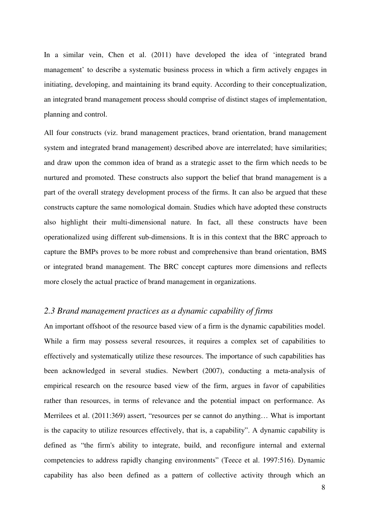In a similar vein, Chen et al. (2011) have developed the idea of 'integrated brand management' to describe a systematic business process in which a firm actively engages in initiating, developing, and maintaining its brand equity. According to their conceptualization, an integrated brand management process should comprise of distinct stages of implementation, planning and control.

All four constructs (viz. brand management practices, brand orientation, brand management system and integrated brand management) described above are interrelated; have similarities; and draw upon the common idea of brand as a strategic asset to the firm which needs to be nurtured and promoted. These constructs also support the belief that brand management is a part of the overall strategy development process of the firms. It can also be argued that these constructs capture the same nomological domain. Studies which have adopted these constructs also highlight their multi-dimensional nature. In fact, all these constructs have been operationalized using different sub-dimensions. It is in this context that the BRC approach to capture the BMPs proves to be more robust and comprehensive than brand orientation, BMS or integrated brand management. The BRC concept captures more dimensions and reflects more closely the actual practice of brand management in organizations.

#### *2.3 Brand management practices as a dynamic capability of firms*

An important offshoot of the resource based view of a firm is the dynamic capabilities model. While a firm may possess several resources, it requires a complex set of capabilities to effectively and systematically utilize these resources. The importance of such capabilities has been acknowledged in several studies. Newbert (2007), conducting a meta-analysis of empirical research on the resource based view of the firm, argues in favor of capabilities rather than resources, in terms of relevance and the potential impact on performance. As Merrilees et al. (2011:369) assert, "resources per se cannot do anything… What is important is the capacity to utilize resources effectively, that is, a capability". A dynamic capability is defined as "the firm's ability to integrate, build, and reconfigure internal and external competencies to address rapidly changing environments" (Teece et al. 1997:516). Dynamic capability has also been defined as a pattern of collective activity through which an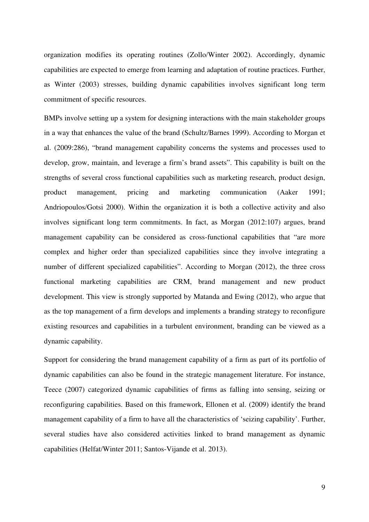organization modifies its operating routines (Zollo/Winter 2002). Accordingly, dynamic capabilities are expected to emerge from learning and adaptation of routine practices. Further, as Winter (2003) stresses, building dynamic capabilities involves significant long term commitment of specific resources.

BMPs involve setting up a system for designing interactions with the main stakeholder groups in a way that enhances the value of the brand (Schultz/Barnes 1999). According to Morgan et al. (2009:286), "brand management capability concerns the systems and processes used to develop, grow, maintain, and leverage a firm's brand assets". This capability is built on the strengths of several cross functional capabilities such as marketing research, product design, product management, pricing and marketing communication (Aaker 1991; Andriopoulos/Gotsi 2000). Within the organization it is both a collective activity and also involves significant long term commitments. In fact, as Morgan (2012:107) argues, brand management capability can be considered as cross-functional capabilities that "are more complex and higher order than specialized capabilities since they involve integrating a number of different specialized capabilities". According to Morgan (2012), the three cross functional marketing capabilities are CRM, brand management and new product development. This view is strongly supported by Matanda and Ewing (2012), who argue that as the top management of a firm develops and implements a branding strategy to reconfigure existing resources and capabilities in a turbulent environment, branding can be viewed as a dynamic capability.

Support for considering the brand management capability of a firm as part of its portfolio of dynamic capabilities can also be found in the strategic management literature. For instance, Teece (2007) categorized dynamic capabilities of firms as falling into sensing, seizing or reconfiguring capabilities. Based on this framework, Ellonen et al. (2009) identify the brand management capability of a firm to have all the characteristics of 'seizing capability'. Further, several studies have also considered activities linked to brand management as dynamic capabilities (Helfat/Winter 2011; Santos-Vijande et al. 2013).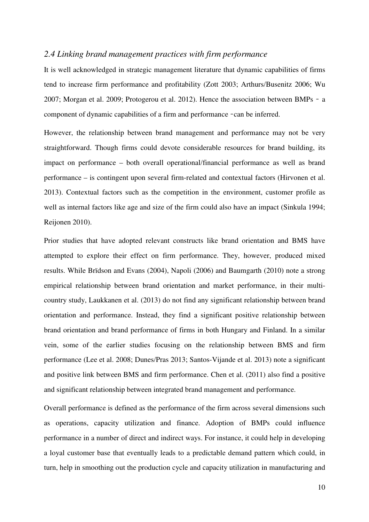#### *2.4 Linking brand management practices with firm performance*

It is well acknowledged in strategic management literature that dynamic capabilities of firms tend to increase firm performance and profitability (Zott 2003; Arthurs/Busenitz 2006; Wu 2007; Morgan et al. 2009; Protogerou et al. 2012). Hence the association between BMPs - a component of dynamic capabilities of a firm and performance -can be inferred.

However, the relationship between brand management and performance may not be very straightforward. Though firms could devote considerable resources for brand building, its impact on performance – both overall operational/financial performance as well as brand performance – is contingent upon several firm-related and contextual factors (Hirvonen et al. 2013). Contextual factors such as the competition in the environment, customer profile as well as internal factors like age and size of the firm could also have an impact (Sinkula 1994; Reijonen 2010).

Prior studies that have adopted relevant constructs like brand orientation and BMS have attempted to explore their effect on firm performance. They, however, produced mixed results. While Brïdson and Evans (2004), Napoli (2006) and Baumgarth (2010) note a strong empirical relationship between brand orientation and market performance, in their multicountry study, Laukkanen et al. (2013) do not find any significant relationship between brand orientation and performance. Instead, they find a significant positive relationship between brand orientation and brand performance of firms in both Hungary and Finland. In a similar vein, some of the earlier studies focusing on the relationship between BMS and firm performance (Lee et al. 2008; Dunes/Pras 2013; Santos-Vijande et al. 2013) note a significant and positive link between BMS and firm performance. Chen et al. (2011) also find a positive and significant relationship between integrated brand management and performance.

Overall performance is defined as the performance of the firm across several dimensions such as operations, capacity utilization and finance. Adoption of BMPs could influence performance in a number of direct and indirect ways. For instance, it could help in developing a loyal customer base that eventually leads to a predictable demand pattern which could, in turn, help in smoothing out the production cycle and capacity utilization in manufacturing and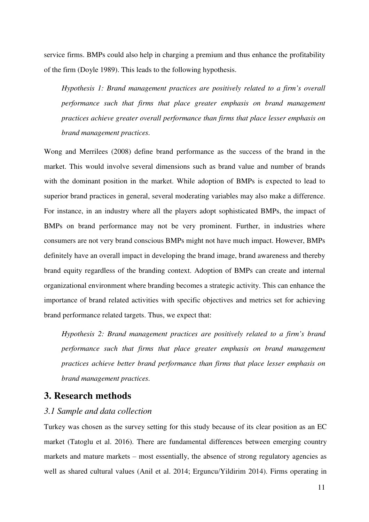service firms. BMPs could also help in charging a premium and thus enhance the profitability of the firm (Doyle 1989). This leads to the following hypothesis.

*Hypothesis 1: Brand management practices are positively related to a firm's overall performance such that firms that place greater emphasis on brand management practices achieve greater overall performance than firms that place lesser emphasis on brand management practices.* 

Wong and Merrilees (2008) define brand performance as the success of the brand in the market. This would involve several dimensions such as brand value and number of brands with the dominant position in the market. While adoption of BMPs is expected to lead to superior brand practices in general, several moderating variables may also make a difference. For instance, in an industry where all the players adopt sophisticated BMPs, the impact of BMPs on brand performance may not be very prominent. Further, in industries where consumers are not very brand conscious BMPs might not have much impact. However, BMPs definitely have an overall impact in developing the brand image, brand awareness and thereby brand equity regardless of the branding context. Adoption of BMPs can create and internal organizational environment where branding becomes a strategic activity. This can enhance the importance of brand related activities with specific objectives and metrics set for achieving brand performance related targets. Thus, we expect that:

*Hypothesis 2: Brand management practices are positively related to a firm's brand performance such that firms that place greater emphasis on brand management practices achieve better brand performance than firms that place lesser emphasis on brand management practices.* 

## **3. Research methods**

#### *3.1 Sample and data collection*

Turkey was chosen as the survey setting for this study because of its clear position as an EC market (Tatoglu et al. 2016). There are fundamental differences between emerging country markets and mature markets  $-$  most essentially, the absence of strong regulatory agencies as well as shared cultural values (Anil et al. 2014; Erguncu/Yildirim 2014). Firms operating in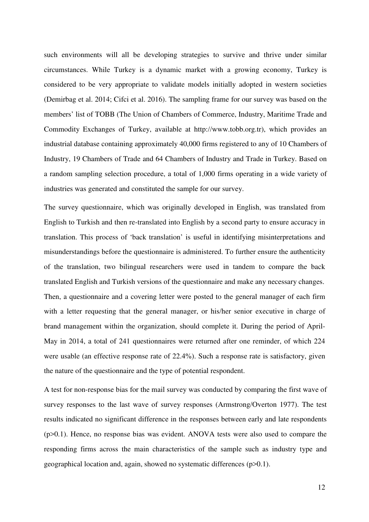such environments will all be developing strategies to survive and thrive under similar circumstances. While Turkey is a dynamic market with a growing economy, Turkey is considered to be very appropriate to validate models initially adopted in western societies (Demirbag et al. 2014; Cifci et al. 2016). The sampling frame for our survey was based on the members' list of TOBB (The Union of Chambers of Commerce, Industry, Maritime Trade and Commodity Exchanges of Turkey, available at http://www.tobb.org.tr), which provides an industrial database containing approximately 40,000 firms registered to any of 10 Chambers of Industry, 19 Chambers of Trade and 64 Chambers of Industry and Trade in Turkey. Based on a random sampling selection procedure, a total of 1,000 firms operating in a wide variety of industries was generated and constituted the sample for our survey.

The survey questionnaire, which was originally developed in English, was translated from English to Turkish and then re-translated into English by a second party to ensure accuracy in translation. This process of 'back translation' is useful in identifying misinterpretations and misunderstandings before the questionnaire is administered. To further ensure the authenticity of the translation, two bilingual researchers were used in tandem to compare the back translated English and Turkish versions of the questionnaire and make any necessary changes. Then, a questionnaire and a covering letter were posted to the general manager of each firm with a letter requesting that the general manager, or his/her senior executive in charge of brand management within the organization, should complete it. During the period of April-May in 2014, a total of 241 questionnaires were returned after one reminder, of which 224 were usable (an effective response rate of 22.4%). Such a response rate is satisfactory, given the nature of the questionnaire and the type of potential respondent.

A test for non-response bias for the mail survey was conducted by comparing the first wave of survey responses to the last wave of survey responses (Armstrong/Overton 1977). The test results indicated no significant difference in the responses between early and late respondents (p>0.1). Hence, no response bias was evident. ANOVA tests were also used to compare the responding firms across the main characteristics of the sample such as industry type and geographical location and, again, showed no systematic differences (p>0.1).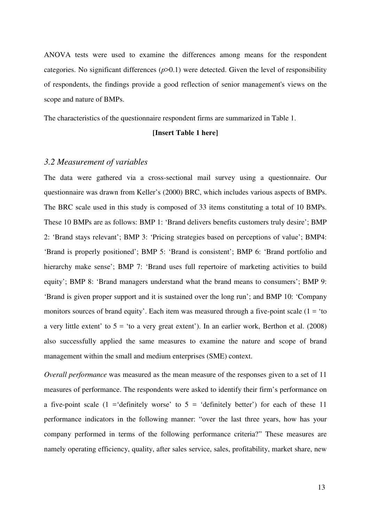ANOVA tests were used to examine the differences among means for the respondent categories. No significant differences (*p*>0.1) were detected. Given the level of responsibility of respondents, the findings provide a good reflection of senior management's views on the scope and nature of BMPs.

The characteristics of the questionnaire respondent firms are summarized in Table 1.

#### **[Insert Table 1 here]**

#### *3.2 Measurement of variables*

The data were gathered via a cross-sectional mail survey using a questionnaire. Our questionnaire was drawn from Keller's (2000) BRC, which includes various aspects of BMPs. The BRC scale used in this study is composed of 33 items constituting a total of 10 BMPs. These 10 BMPs are as follows: BMP 1: 'Brand delivers benefits customers truly desire'; BMP 2: 'Brand stays relevant'; BMP 3: 'Pricing strategies based on perceptions of value'; BMP4: 'Brand is properly positioned'; BMP 5: 'Brand is consistent'; BMP 6: 'Brand portfolio and hierarchy make sense'; BMP 7: 'Brand uses full repertoire of marketing activities to build equity'; BMP 8: 'Brand managers understand what the brand means to consumers'; BMP 9: 'Brand is given proper support and it is sustained over the long run'; and BMP 10: 'Company monitors sources of brand equity'. Each item was measured through a five-point scale  $(1 = 'to')$ a very little extent' to  $5 =$  'to a very great extent'). In an earlier work, Berthon et al. (2008) also successfully applied the same measures to examine the nature and scope of brand management within the small and medium enterprises (SME) context.

*Overall performance* was measured as the mean measure of the responses given to a set of 11 measures of performance. The respondents were asked to identify their firm's performance on a five-point scale  $(1 - \text{definitely worse})$  to  $5 - \text{definitely better})$  for each of these 11 performance indicators in the following manner: "over the last three years, how has your company performed in terms of the following performance criteria?" These measures are namely operating efficiency, quality, after sales service, sales, profitability, market share, new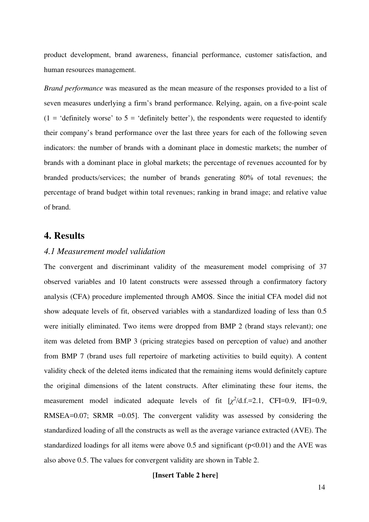product development, brand awareness, financial performance, customer satisfaction, and human resources management.

*Brand performance* was measured as the mean measure of the responses provided to a list of seven measures underlying a firm's brand performance. Relying, again, on a five-point scale (1 = 'definitely worse' to  $5$  = 'definitely better'), the respondents were requested to identify their company's brand performance over the last three years for each of the following seven indicators: the number of brands with a dominant place in domestic markets; the number of brands with a dominant place in global markets; the percentage of revenues accounted for by branded products/services; the number of brands generating 80% of total revenues; the percentage of brand budget within total revenues; ranking in brand image; and relative value of brand.

## **4. Results**

## *4.1 Measurement model validation*

The convergent and discriminant validity of the measurement model comprising of 37 observed variables and 10 latent constructs were assessed through a confirmatory factory analysis (CFA) procedure implemented through AMOS. Since the initial CFA model did not show adequate levels of fit, observed variables with a standardized loading of less than 0.5 were initially eliminated. Two items were dropped from BMP 2 (brand stays relevant); one item was deleted from BMP 3 (pricing strategies based on perception of value) and another from BMP 7 (brand uses full repertoire of marketing activities to build equity). A content validity check of the deleted items indicated that the remaining items would definitely capture the original dimensions of the latent constructs. After eliminating these four items, the measurement model indicated adequate levels of fit  $[\chi^2/d.f.=2.1, CFI=0.9, IFI=0.9]$ RMSEA=0.07; SRMR =0.05]. The convergent validity was assessed by considering the standardized loading of all the constructs as well as the average variance extracted (AVE). The standardized loadings for all items were above 0.5 and significant  $(p<0.01)$  and the AVE was also above 0.5. The values for convergent validity are shown in Table 2.

#### **[Insert Table 2 here]**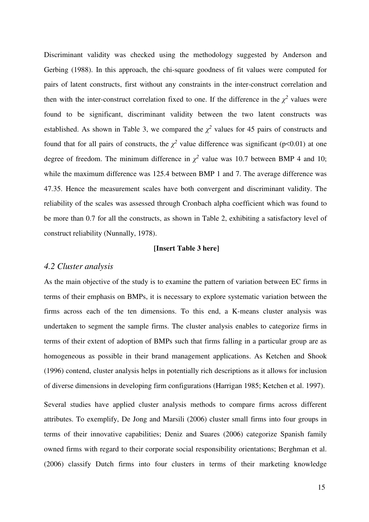Discriminant validity was checked using the methodology suggested by Anderson and Gerbing (1988). In this approach, the chi-square goodness of fit values were computed for pairs of latent constructs, first without any constraints in the inter-construct correlation and then with the inter-construct correlation fixed to one. If the difference in the  $\chi^2$  values were found to be significant, discriminant validity between the two latent constructs was established. As shown in Table 3, we compared the  $\chi^2$  values for 45 pairs of constructs and found that for all pairs of constructs, the  $\chi^2$  value difference was significant (p<0.01) at one degree of freedom. The minimum difference in  $\chi^2$  value was 10.7 between BMP 4 and 10; while the maximum difference was 125.4 between BMP 1 and 7. The average difference was 47.35. Hence the measurement scales have both convergent and discriminant validity. The reliability of the scales was assessed through Cronbach alpha coefficient which was found to be more than 0.7 for all the constructs, as shown in Table 2, exhibiting a satisfactory level of construct reliability (Nunnally, 1978).

#### **[Insert Table 3 here]**

#### *4.2 Cluster analysis*

As the main objective of the study is to examine the pattern of variation between EC firms in terms of their emphasis on BMPs, it is necessary to explore systematic variation between the firms across each of the ten dimensions. To this end, a K-means cluster analysis was undertaken to segment the sample firms. The cluster analysis enables to categorize firms in terms of their extent of adoption of BMPs such that firms falling in a particular group are as homogeneous as possible in their brand management applications. As Ketchen and Shook (1996) contend, cluster analysis helps in potentially rich descriptions as it allows for inclusion of diverse dimensions in developing firm configurations (Harrigan 1985; Ketchen et al. 1997).

Several studies have applied cluster analysis methods to compare firms across different attributes. To exemplify, De Jong and Marsili (2006) cluster small firms into four groups in terms of their innovative capabilities; Deniz and Suares (2006) categorize Spanish family owned firms with regard to their corporate social responsibility orientations; Berghman et al. (2006) classify Dutch firms into four clusters in terms of their marketing knowledge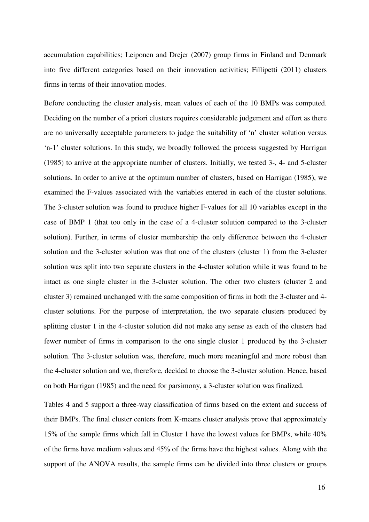accumulation capabilities; Leiponen and Drejer (2007) group firms in Finland and Denmark into five different categories based on their innovation activities; Fillipetti (2011) clusters firms in terms of their innovation modes.

Before conducting the cluster analysis, mean values of each of the 10 BMPs was computed. Deciding on the number of a priori clusters requires considerable judgement and effort as there are no universally acceptable parameters to judge the suitability of 'n' cluster solution versus 'n-1' cluster solutions. In this study, we broadly followed the process suggested by Harrigan (1985) to arrive at the appropriate number of clusters. Initially, we tested 3-, 4- and 5-cluster solutions. In order to arrive at the optimum number of clusters, based on Harrigan (1985), we examined the F-values associated with the variables entered in each of the cluster solutions. The 3-cluster solution was found to produce higher F-values for all 10 variables except in the case of BMP 1 (that too only in the case of a 4-cluster solution compared to the 3-cluster solution). Further, in terms of cluster membership the only difference between the 4-cluster solution and the 3-cluster solution was that one of the clusters (cluster 1) from the 3-cluster solution was split into two separate clusters in the 4-cluster solution while it was found to be intact as one single cluster in the 3-cluster solution. The other two clusters (cluster 2 and cluster 3) remained unchanged with the same composition of firms in both the 3-cluster and 4 cluster solutions. For the purpose of interpretation, the two separate clusters produced by splitting cluster 1 in the 4-cluster solution did not make any sense as each of the clusters had fewer number of firms in comparison to the one single cluster 1 produced by the 3-cluster solution. The 3-cluster solution was, therefore, much more meaningful and more robust than the 4-cluster solution and we, therefore, decided to choose the 3-cluster solution. Hence, based on both Harrigan (1985) and the need for parsimony, a 3-cluster solution was finalized.

Tables 4 and 5 support a three-way classification of firms based on the extent and success of their BMPs. The final cluster centers from K-means cluster analysis prove that approximately 15% of the sample firms which fall in Cluster 1 have the lowest values for BMPs, while 40% of the firms have medium values and 45% of the firms have the highest values. Along with the support of the ANOVA results, the sample firms can be divided into three clusters or groups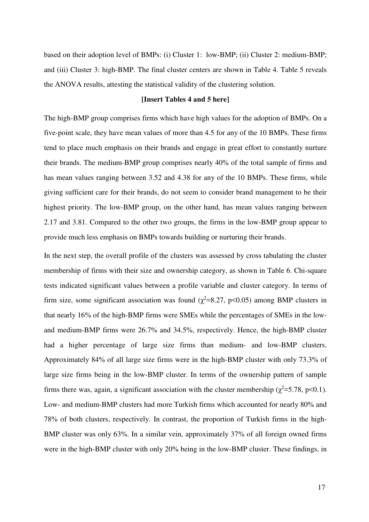based on their adoption level of BMPs: (i) Cluster 1: low-BMP; (ii) Cluster 2: medium-BMP; and (iii) Cluster 3: high-BMP. The final cluster centers are shown in Table 4. Table 5 reveals the ANOVA results, attesting the statistical validity of the clustering solution.

#### **[Insert Tables 4 and 5 here]**

The high-BMP group comprises firms which have high values for the adoption of BMPs. On a five-point scale, they have mean values of more than 4.5 for any of the 10 BMPs. These firms tend to place much emphasis on their brands and engage in great effort to constantly nurture their brands. The medium-BMP group comprises nearly 40% of the total sample of firms and has mean values ranging between 3.52 and 4.38 for any of the 10 BMPs. These firms, while giving sufficient care for their brands, do not seem to consider brand management to be their highest priority. The low-BMP group, on the other hand, has mean values ranging between 2.17 and 3.81. Compared to the other two groups, the firms in the low-BMP group appear to provide much less emphasis on BMPs towards building or nurturing their brands.

In the next step, the overall profile of the clusters was assessed by cross tabulating the cluster membership of firms with their size and ownership category, as shown in Table 6. Chi-square tests indicated significant values between a profile variable and cluster category. In terms of firm size, some significant association was found  $(\chi^2=8.27, p<0.05)$  among BMP clusters in that nearly 16% of the high-BMP firms were SMEs while the percentages of SMEs in the lowand medium-BMP firms were 26.7% and 34.5%, respectively. Hence, the high-BMP cluster had a higher percentage of large size firms than medium- and low-BMP clusters. Approximately 84% of all large size firms were in the high-BMP cluster with only 73.3% of large size firms being in the low-BMP cluster. In terms of the ownership pattern of sample firms there was, again, a significant association with the cluster membership ( $\chi^2$ =5.78, p<0.1). Low- and medium-BMP clusters had more Turkish firms which accounted for nearly 80% and 78% of both clusters, respectively. In contrast, the proportion of Turkish firms in the high-BMP cluster was only 63%. In a similar vein, approximately 37% of all foreign owned firms were in the high-BMP cluster with only 20% being in the low-BMP cluster. These findings, in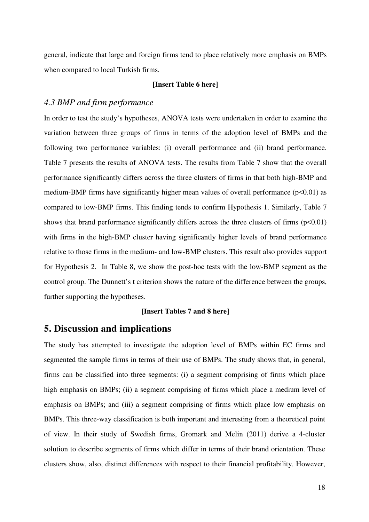general, indicate that large and foreign firms tend to place relatively more emphasis on BMPs when compared to local Turkish firms.

#### **[Insert Table 6 here]**

#### *4.3 BMP and firm performance*

In order to test the study's hypotheses, ANOVA tests were undertaken in order to examine the variation between three groups of firms in terms of the adoption level of BMPs and the following two performance variables: (i) overall performance and (ii) brand performance. Table 7 presents the results of ANOVA tests. The results from Table 7 show that the overall performance significantly differs across the three clusters of firms in that both high-BMP and medium-BMP firms have significantly higher mean values of overall performance  $(p<0.01)$  as compared to low-BMP firms. This finding tends to confirm Hypothesis 1. Similarly, Table 7 shows that brand performance significantly differs across the three clusters of firms  $(p<0.01)$ with firms in the high-BMP cluster having significantly higher levels of brand performance relative to those firms in the medium- and low-BMP clusters. This result also provides support for Hypothesis 2. In Table 8, we show the post-hoc tests with the low-BMP segment as the control group. The Dunnett's t criterion shows the nature of the difference between the groups, further supporting the hypotheses.

#### **[Insert Tables 7 and 8 here]**

## **5. Discussion and implications**

The study has attempted to investigate the adoption level of BMPs within EC firms and segmented the sample firms in terms of their use of BMPs. The study shows that, in general, firms can be classified into three segments: (i) a segment comprising of firms which place high emphasis on BMPs; (ii) a segment comprising of firms which place a medium level of emphasis on BMPs; and (iii) a segment comprising of firms which place low emphasis on BMPs. This three-way classification is both important and interesting from a theoretical point of view. In their study of Swedish firms, Gromark and Melin (2011) derive a 4-cluster solution to describe segments of firms which differ in terms of their brand orientation. These clusters show, also, distinct differences with respect to their financial profitability. However,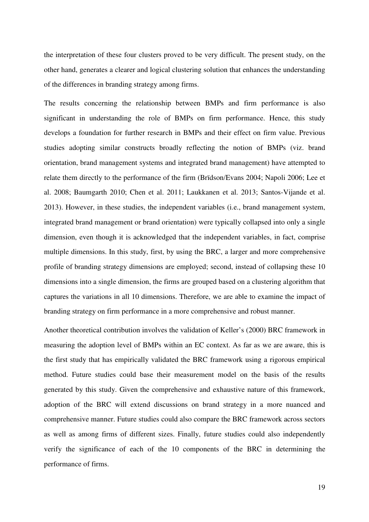the interpretation of these four clusters proved to be very difficult. The present study, on the other hand, generates a clearer and logical clustering solution that enhances the understanding of the differences in branding strategy among firms.

The results concerning the relationship between BMPs and firm performance is also significant in understanding the role of BMPs on firm performance. Hence, this study develops a foundation for further research in BMPs and their effect on firm value. Previous studies adopting similar constructs broadly reflecting the notion of BMPs (viz. brand orientation, brand management systems and integrated brand management) have attempted to relate them directly to the performance of the firm (Brïdson/Evans 2004; Napoli 2006; Lee et al. 2008; Baumgarth 2010; Chen et al. 2011; Laukkanen et al. 2013; Santos-Vijande et al. 2013). However, in these studies, the independent variables (i.e., brand management system, integrated brand management or brand orientation) were typically collapsed into only a single dimension, even though it is acknowledged that the independent variables, in fact, comprise multiple dimensions. In this study, first, by using the BRC, a larger and more comprehensive profile of branding strategy dimensions are employed; second, instead of collapsing these 10 dimensions into a single dimension, the firms are grouped based on a clustering algorithm that captures the variations in all 10 dimensions. Therefore, we are able to examine the impact of branding strategy on firm performance in a more comprehensive and robust manner.

Another theoretical contribution involves the validation of Keller's (2000) BRC framework in measuring the adoption level of BMPs within an EC context. As far as we are aware, this is the first study that has empirically validated the BRC framework using a rigorous empirical method. Future studies could base their measurement model on the basis of the results generated by this study. Given the comprehensive and exhaustive nature of this framework, adoption of the BRC will extend discussions on brand strategy in a more nuanced and comprehensive manner. Future studies could also compare the BRC framework across sectors as well as among firms of different sizes. Finally, future studies could also independently verify the significance of each of the 10 components of the BRC in determining the performance of firms.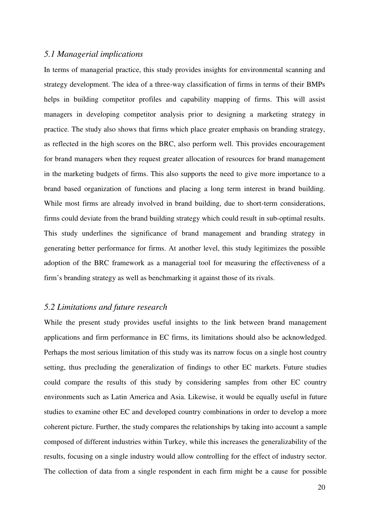#### *5.1 Managerial implications*

In terms of managerial practice, this study provides insights for environmental scanning and strategy development. The idea of a three-way classification of firms in terms of their BMPs helps in building competitor profiles and capability mapping of firms. This will assist managers in developing competitor analysis prior to designing a marketing strategy in practice. The study also shows that firms which place greater emphasis on branding strategy, as reflected in the high scores on the BRC, also perform well. This provides encouragement for brand managers when they request greater allocation of resources for brand management in the marketing budgets of firms. This also supports the need to give more importance to a brand based organization of functions and placing a long term interest in brand building. While most firms are already involved in brand building, due to short-term considerations, firms could deviate from the brand building strategy which could result in sub-optimal results. This study underlines the significance of brand management and branding strategy in generating better performance for firms. At another level, this study legitimizes the possible adoption of the BRC framework as a managerial tool for measuring the effectiveness of a firm's branding strategy as well as benchmarking it against those of its rivals.

#### *5.2 Limitations and future research*

While the present study provides useful insights to the link between brand management applications and firm performance in EC firms, its limitations should also be acknowledged. Perhaps the most serious limitation of this study was its narrow focus on a single host country setting, thus precluding the generalization of findings to other EC markets. Future studies could compare the results of this study by considering samples from other EC country environments such as Latin America and Asia. Likewise, it would be equally useful in future studies to examine other EC and developed country combinations in order to develop a more coherent picture. Further, the study compares the relationships by taking into account a sample composed of different industries within Turkey, while this increases the generalizability of the results, focusing on a single industry would allow controlling for the effect of industry sector. The collection of data from a single respondent in each firm might be a cause for possible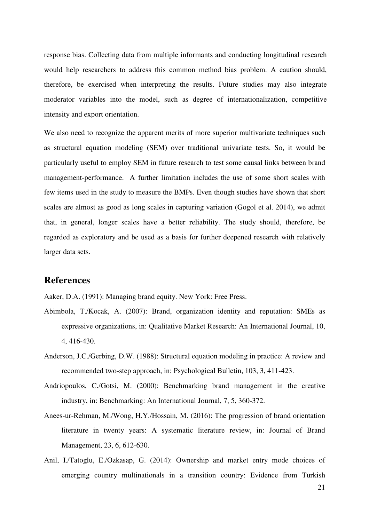response bias. Collecting data from multiple informants and conducting longitudinal research would help researchers to address this common method bias problem. A caution should, therefore, be exercised when interpreting the results. Future studies may also integrate moderator variables into the model, such as degree of internationalization, competitive intensity and export orientation.

We also need to recognize the apparent merits of more superior multivariate techniques such as structural equation modeling (SEM) over traditional univariate tests. So, it would be particularly useful to employ SEM in future research to test some causal links between brand management-performance. A further limitation includes the use of some short scales with few items used in the study to measure the BMPs. Even though studies have shown that short scales are almost as good as long scales in capturing variation (Gogol et al. 2014), we admit that, in general, longer scales have a better reliability. The study should, therefore, be regarded as exploratory and be used as a basis for further deepened research with relatively larger data sets.

## **References**

Aaker, D.A. (1991): Managing brand equity. New York: Free Press.

- Abimbola, T./Kocak, A. (2007): Brand, organization identity and reputation: SMEs as expressive organizations, in: Qualitative Market Research: An International Journal, 10, 4, 416-430.
- Anderson, J.C./Gerbing, D.W. (1988): Structural equation modeling in practice: A review and recommended two-step approach, in: Psychological Bulletin, 103, 3, 411-423.
- Andriopoulos, C./Gotsi, M. (2000): Benchmarking brand management in the creative industry, in: Benchmarking: An International Journal, 7, 5, 360-372.
- Anees-ur-Rehman, M./Wong, H.Y./Hossain, M. (2016): The progression of brand orientation literature in twenty years: A systematic literature review, in: Journal of Brand Management, 23, 6, 612-630.
- Anil, I./Tatoglu, E./Ozkasap, G. (2014): Ownership and market entry mode choices of emerging country multinationals in a transition country: Evidence from Turkish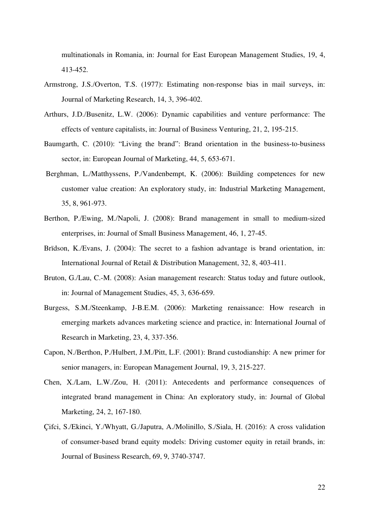multinationals in Romania, in: Journal for East European Management Studies, 19, 4, 413-452.

- Armstrong, J.S./Overton, T.S. (1977): Estimating non-response bias in mail surveys, in: Journal of Marketing Research, 14, 3, 396-402.
- Arthurs, J.D./Busenitz, L.W. (2006): Dynamic capabilities and venture performance: The effects of venture capitalists, in: Journal of Business Venturing, 21, 2, 195-215.
- Baumgarth, C. (2010): "Living the brand": Brand orientation in the business-to-business sector, in: European Journal of Marketing, 44, 5, 653-671.
- Berghman, L./Matthyssens, P./Vandenbempt, K. (2006): Building competences for new customer value creation: An exploratory study, in: Industrial Marketing Management, 35, 8, 961-973.
- Berthon, P./Ewing, M./Napoli, J. (2008): Brand management in small to medium-sized enterprises, in: Journal of Small Business Management, 46, 1, 27-45.
- Brïdson, K./Evans, J. (2004): The secret to a fashion advantage is brand orientation, in: International Journal of Retail & Distribution Management, 32, 8, 403-411.
- Bruton, G./Lau, C.-M. (2008): Asian management research: Status today and future outlook, in: Journal of Management Studies, 45, 3, 636-659.
- Burgess, S.M./Steenkamp, J-B.E.M. (2006): Marketing renaissance: How research in emerging markets advances marketing science and practice, in: International Journal of Research in Marketing, 23, 4, 337-356.
- Capon, N./Berthon, P./Hulbert, J.M./Pitt, L.F. (2001): Brand custodianship: A new primer for senior managers, in: European Management Journal, 19, 3, 215-227.
- Chen, X./Lam, L.W./Zou, H. (2011): Antecedents and performance consequences of integrated brand management in China: An exploratory study, in: Journal of Global Marketing, 24, 2, 167-180.
- Çifci, S./Ekinci, Y./Whyatt, G./Japutra, A./Molinillo, S./Siala, H. (2016): A cross validation of consumer-based brand equity models: Driving customer equity in retail brands, in: Journal of Business Research, 69, 9, 3740-3747.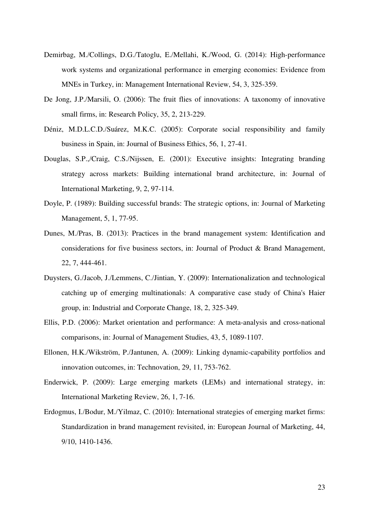- Demirbag, M./Collings, D.G./Tatoglu, E./Mellahi, K./Wood, G. (2014): High-performance work systems and organizational performance in emerging economies: Evidence from MNEs in Turkey, in: Management International Review, 54, 3, 325-359.
- De Jong, J.P./Marsili, O. (2006): The fruit flies of innovations: A taxonomy of innovative small firms, in: Research Policy, 35, 2, 213-229.
- Déniz, M.D.L.C.D./Suárez, M.K.C. (2005): Corporate social responsibility and family business in Spain, in: Journal of Business Ethics, 56, 1, 27-41.
- Douglas, S.P.,/Craig, C.S./Nijssen, E. (2001): Executive insights: Integrating branding strategy across markets: Building international brand architecture, in: Journal of International Marketing, 9, 2, 97-114.
- Doyle, P. (1989): Building successful brands: The strategic options, in: Journal of Marketing Management, 5, 1, 77-95.
- Dunes, M./Pras, B. (2013): Practices in the brand management system: Identification and considerations for five business sectors, in: Journal of Product & Brand Management, 22, 7, 444-461.
- Duysters, G./Jacob, J./Lemmens, C./Jintian, Y. (2009): Internationalization and technological catching up of emerging multinationals: A comparative case study of China's Haier group, in: Industrial and Corporate Change, 18, 2, 325-349.
- Ellis, P.D. (2006): Market orientation and performance: A meta-analysis and cross-national comparisons, in: Journal of Management Studies, 43, 5, 1089-1107.
- Ellonen, H.K./Wikström, P./Jantunen, A. (2009): Linking dynamic-capability portfolios and innovation outcomes, in: Technovation, 29, 11, 753-762.
- Enderwick, P. (2009): Large emerging markets (LEMs) and international strategy, in: International Marketing Review, 26, 1, 7-16.
- Erdogmus, I./Bodur, M./Yilmaz, C. (2010): International strategies of emerging market firms: Standardization in brand management revisited, in: European Journal of Marketing, 44, 9/10, 1410-1436.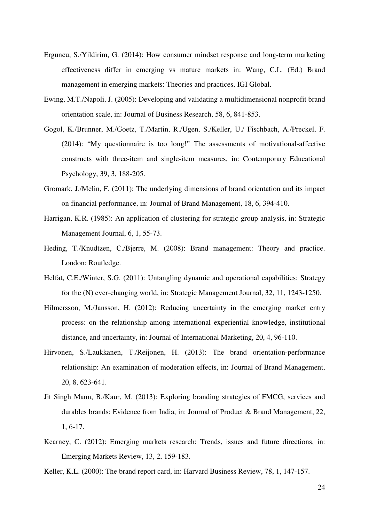- Erguncu, S./Yildirim, G. (2014): How consumer mindset response and long-term marketing effectiveness differ in emerging vs mature markets in: Wang, C.L. (Ed.) Brand management in emerging markets: Theories and practices, IGI Global.
- Ewing, M.T./Napoli, J. (2005): Developing and validating a multidimensional nonprofit brand orientation scale, in: Journal of Business Research, 58, 6, 841-853.
- Gogol, K./Brunner, M./Goetz, T./Martin, R./Ugen, S./Keller, U./ Fischbach, A./Preckel, F. (2014): "My questionnaire is too long!" The assessments of motivational-affective constructs with three-item and single-item measures, in: Contemporary Educational Psychology, 39, 3, 188-205.
- Gromark, J./Melin, F. (2011): The underlying dimensions of brand orientation and its impact on financial performance, in: Journal of Brand Management, 18, 6, 394-410.
- Harrigan, K.R. (1985): An application of clustering for strategic group analysis, in: Strategic Management Journal, 6, 1, 55-73.
- Heding, T./Knudtzen, C./Bjerre, M. (2008): Brand management: Theory and practice. London: Routledge.
- Helfat, C.E./Winter, S.G. (2011): Untangling dynamic and operational capabilities: Strategy for the (N) ever-changing world, in: Strategic Management Journal, 32, 11, 1243-1250.
- Hilmersson, M./Jansson, H. (2012): Reducing uncertainty in the emerging market entry process: on the relationship among international experiential knowledge, institutional distance, and uncertainty, in: Journal of International Marketing, 20, 4, 96-110.
- Hirvonen, S./Laukkanen, T./Reijonen, H. (2013): The brand orientation-performance relationship: An examination of moderation effects, in: Journal of Brand Management, 20, 8, 623-641.
- Jit Singh Mann, B./Kaur, M. (2013): Exploring branding strategies of FMCG, services and durables brands: Evidence from India, in: Journal of Product & Brand Management, 22, 1, 6-17.
- Kearney, C. (2012): Emerging markets research: Trends, issues and future directions, in: Emerging Markets Review, 13, 2, 159-183.
- Keller, K.L. (2000): The brand report card, in: Harvard Business Review, 78, 1, 147-157.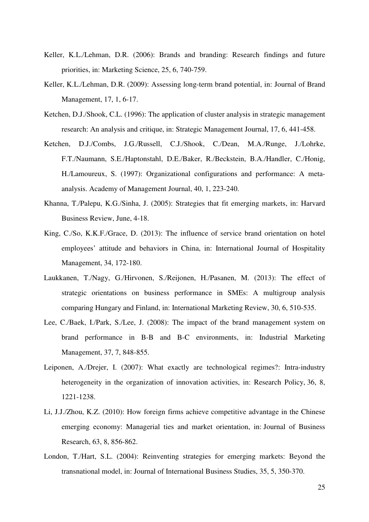- Keller, K.L./Lehman, D.R. (2006): Brands and branding: Research findings and future priorities, in: Marketing Science, 25, 6, 740-759.
- Keller, K.L./Lehman, D.R. (2009): Assessing long-term brand potential, in: Journal of Brand Management, 17, 1, 6-17.
- Ketchen, D.J./Shook, C.L. (1996): The application of cluster analysis in strategic management research: An analysis and critique, in: Strategic Management Journal, 17, 6, 441-458.
- Ketchen, D.J./Combs, J.G./Russell, C.J./Shook, C./Dean, M.A./Runge, J./Lohrke, F.T./Naumann, S.E./Haptonstahl, D.E./Baker, R./Beckstein, B.A./Handler, C./Honig, H./Lamoureux, S. (1997): Organizational configurations and performance: A metaanalysis. Academy of Management Journal, 40, 1, 223-240.
- Khanna, T./Palepu, K.G./Sinha, J. (2005): Strategies that fit emerging markets, in: Harvard Business Review, June, 4-18.
- King, C./So, K.K.F./Grace, D. (2013): The influence of service brand orientation on hotel employees' attitude and behaviors in China, in: International Journal of Hospitality Management, 34, 172-180.
- Laukkanen, T./Nagy, G./Hirvonen, S./Reijonen, H./Pasanen, M. (2013): The effect of strategic orientations on business performance in SMEs: A multigroup analysis comparing Hungary and Finland, in: International Marketing Review, 30, 6, 510-535.
- Lee, C./Baek, I./Park, S./Lee, J. (2008): The impact of the brand management system on brand performance in B-B and B-C environments, in: Industrial Marketing Management, 37, 7, 848-855.
- Leiponen, A./Drejer, I. (2007): What exactly are technological regimes?: Intra-industry heterogeneity in the organization of innovation activities, in: Research Policy, 36, 8, 1221-1238.
- Li, J.J./Zhou, K.Z. (2010): How foreign firms achieve competitive advantage in the Chinese emerging economy: Managerial ties and market orientation, in: Journal of Business Research, 63, 8, 856-862.
- London, T./Hart, S.L. (2004): Reinventing strategies for emerging markets: Beyond the transnational model, in: Journal of International Business Studies, 35, 5, 350-370.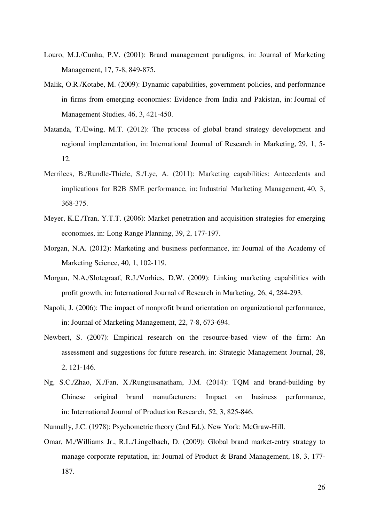- Louro, M.J./Cunha, P.V. (2001): Brand management paradigms, in: Journal of Marketing Management, 17, 7-8, 849-875.
- Malik, O.R./Kotabe, M. (2009): Dynamic capabilities, government policies, and performance in firms from emerging economies: Evidence from India and Pakistan, in: Journal of Management Studies, 46, 3, 421-450.
- Matanda, T./Ewing, M.T. (2012): The process of global brand strategy development and regional implementation, in: International Journal of Research in Marketing, 29, 1, 5- 12.
- Merrilees, B./Rundle-Thiele, S./Lye, A. (2011): Marketing capabilities: Antecedents and implications for B2B SME performance, in: Industrial Marketing Management, 40, 3, 368-375.
- Meyer, K.E./Tran, Y.T.T. (2006): Market penetration and acquisition strategies for emerging economies, in: Long Range Planning, 39, 2, 177-197.
- Morgan, N.A. (2012): Marketing and business performance, in: Journal of the Academy of Marketing Science, 40, 1, 102-119.
- Morgan, N.A./Slotegraaf, R.J./Vorhies, D.W. (2009): Linking marketing capabilities with profit growth, in: International Journal of Research in Marketing, 26, 4, 284-293.
- Napoli, J. (2006): The impact of nonprofit brand orientation on organizational performance, in: Journal of Marketing Management, 22, 7-8, 673-694.
- Newbert, S. (2007): Empirical research on the resource-based view of the firm: An assessment and suggestions for future research, in: Strategic Management Journal, 28, 2, 121-146.
- Ng, S.C./Zhao, X./Fan, X./Rungtusanatham, J.M. (2014): TQM and brand-building by Chinese original brand manufacturers: Impact on business performance, in: International Journal of Production Research, 52, 3, 825-846.
- Nunnally, J.C. (1978): Psychometric theory (2nd Ed.). New York: McGraw-Hill.
- Omar, M./Williams Jr., R.L./Lingelbach, D. (2009): Global brand market-entry strategy to manage corporate reputation, in: Journal of Product & Brand Management, 18, 3, 177- 187.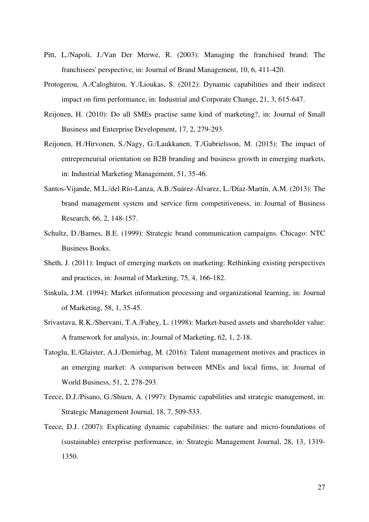- Pitt, L./Napoli, J./Van Der Merwe, R. (2003): Managing the franchised brand: The franchisees' perspective, in: Journal of Brand Management, 10, 6, 411-420.
- Protogerou, A./Caloghirou, Y./Lioukas, S. (2012): Dynamic capabilities and their indirect impact on firm performance, in: Industrial and Corporate Change, 21, 3, 615-647.
- Reijonen, H. (2010): Do all SMEs practise same kind of marketing?, in: Journal of Small Business and Enterprise Development, 17, 2, 279-293.
- Reijonen, H./Hirvonen, S./Nagy, G./Laukkanen, T./Gabrielsson, M. (2015): The impact of entrepreneurial orientation on B2B branding and business growth in emerging markets, in: Industrial Marketing Management, 51, 35-46.
- Santos-Vijande, M.L./del Río-Lanza, A.B./Suárez-Álvarez, L./Díaz-Martín, A.M. (2013): The brand management system and service firm competitiveness, in: Journal of Business Research, 66, 2, 148-157.
- Schultz, D./Barnes, B.E. (1999): Strategic brand communication campaigns. Chicago: NTC Business Books.
- Sheth, J. (2011): Impact of emerging markets on marketing: Rethinking existing perspectives and practices, in: Journal of Marketing, 75, 4, 166-182.
- Sinkula, J.M. (1994): Market information processing and organizational learning, in: Journal of Marketing, 58, 1, 35-45.
- Srivastava, R.K./Shervani, T.A./Fahey, L. (1998): Market-based assets and shareholder value: A framework for analysis, in: Journal of Marketing, 62, 1, 2-18.
- Tatoglu, E./Glaister, A.J./Demirbag, M. (2016): Talent management motives and practices in an emerging market: A comparison between MNEs and local firms, in: Journal of World Business, 51, 2, 278-293.
- Teece, D.J./Pisano, G./Shuen, A. (1997): Dynamic capabilities and strategic management, in: Strategic Management Journal, 18, 7, 509-533.
- Teece, D.J. (2007): Explicating dynamic capabilities: the nature and micro-foundations of (sustainable) enterprise performance, in: Strategic Management Journal, 28, 13, 1319- 1350.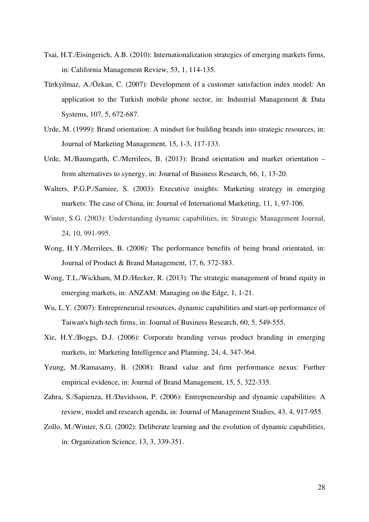- Tsai, H.T./Eisingerich, A.B. (2010): Internationalization strategies of emerging markets firms, in: California Management Review, 53, 1, 114-135.
- Türkyilmaz, A./Özkan, C. (2007): Development of a customer satisfaction index model: An application to the Turkish mobile phone sector, in: Industrial Management & Data Systems, 107, 5, 672-687.
- Urde, M. (1999): Brand orientation: A mindset for building brands into strategic resources, in: Journal of Marketing Management, 15, 1-3, 117-133.
- Urde, M./Baumgarth, C./Merrilees, B. (2013): Brand orientation and market orientation from alternatives to synergy, in: Journal of Business Research, 66, 1, 13-20.
- Walters, P.G.P./Samiee, S. (2003): Executive insights: Marketing strategy in emerging markets: The case of China, in: Journal of International Marketing, 11, 1, 97-106.
- Winter, S.G. (2003): Understanding dynamic capabilities, in: Strategic Management Journal, 24, 10, 991-995.
- Wong, H.Y./Merrilees, B. (2008): The performance benefits of being brand orientated, in: Journal of Product & Brand Management, 17, 6, 372-383.
- Wong, T.L./Wickham, M.D./Hecker, R. (2013): The strategic management of brand equity in emerging markets, in: ANZAM: Managing on the Edge, 1, 1-21.
- Wu, L.Y. (2007): Entrepreneurial resources, dynamic capabilities and start-up performance of Taiwan's high-tech firms, in: Journal of Business Research, 60, 5, 549-555.
- Xie, H.Y./Boggs, D.J. (2006): Corporate branding versus product branding in emerging markets, in: Marketing Intelligence and Planning, 24, 4, 347-364.
- Yeung, M./Ramasamy, B. (2008): Brand value and firm performance nexus: Further empirical evidence, in: Journal of Brand Management, 15, 5, 322-335.
- Zahra, S./Sapienza, H./Davidsson, P. (2006): Entrepreneurship and dynamic capabilities: A review, model and research agenda, in: Journal of Management Studies, 43, 4, 917-955.
- Zollo, M./Winter, S.G. (2002): Deliberate learning and the evolution of dynamic capabilities, in: Organization Science, 13, 3, 339-351.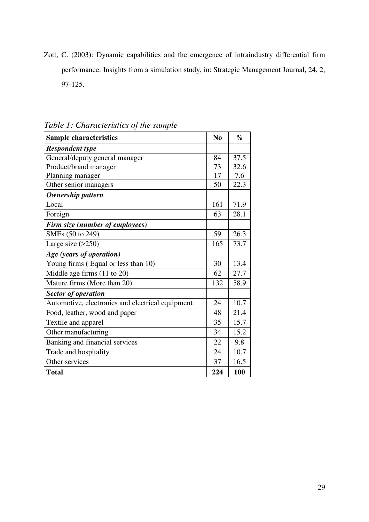Zott, C. (2003): Dynamic capabilities and the emergence of intraindustry differential firm performance: Insights from a simulation study, in: Strategic Management Journal, 24, 2, 97-125.

| <b>Sample characteristics</b>                    | N <sub>0</sub> | $\frac{0}{0}$ |
|--------------------------------------------------|----------------|---------------|
| <b>Respondent type</b>                           |                |               |
| General/deputy general manager                   | 84             | 37.5          |
| Product/brand manager                            | 73             | 32.6          |
| Planning manager                                 | 17             | 7.6           |
| Other senior managers                            | 50             | 22.3          |
| <b>Ownership pattern</b>                         |                |               |
| Local                                            | 161            | 71.9          |
| Foreign                                          | 63             | 28.1          |
| Firm size (number of employees)                  |                |               |
| SMEs (50 to 249)                                 | 59             | 26.3          |
| Large size $(>250)$                              | 165            | 73.7          |
| Age (years of operation)                         |                |               |
| Young firms (Equal or less than 10)              | 30             | 13.4          |
| Middle age firms $(11$ to $20)$                  | 62             | 27.7          |
| Mature firms (More than 20)                      | 132            | 58.9          |
| <b>Sector of operation</b>                       |                |               |
| Automotive, electronics and electrical equipment | 24             | 10.7          |
| Food, leather, wood and paper                    | 48             | 21.4          |
| Textile and apparel                              | 35             | 15.7          |
| Other manufacturing                              | 34             | 15.2          |
| Banking and financial services                   | 22             | 9.8           |
| Trade and hospitality                            | 24             | 10.7          |
| Other services                                   | 37             | 16.5          |
| <b>Total</b>                                     | 224            | 100           |

*Table 1: Characteristics of the sample*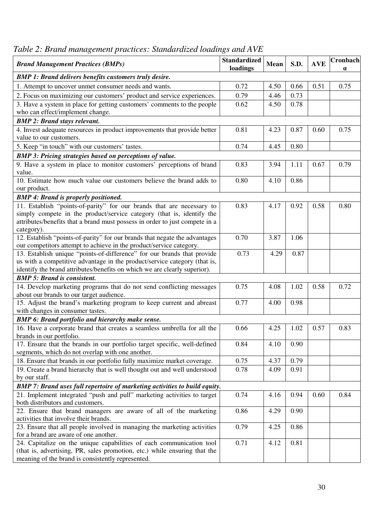| <b>Brand Management Practices (BMPs)</b>                                                            | <b>Standardized</b><br>loadings | Mean | S.D. | <b>AVE</b> | Cronbach<br>$\alpha$ |
|-----------------------------------------------------------------------------------------------------|---------------------------------|------|------|------------|----------------------|
| <b>BMP 1: Brand delivers benefits customers truly desire.</b>                                       |                                 |      |      |            |                      |
| 1. Attempt to uncover unmet consumer needs and wants.                                               | 0.72                            | 4.50 | 0.66 | 0.51       | 0.75                 |
| 2. Focus on maximizing our customers' product and service experiences.                              | 0.79                            | 4.46 | 0.73 |            |                      |
| 3. Have a system in place for getting customers' comments to the people                             | 0.62                            | 4.50 | 0.78 |            |                      |
| who can effect/implement change.                                                                    |                                 |      |      |            |                      |
| <b>BMP 2: Brand stays relevant.</b>                                                                 |                                 |      |      |            |                      |
| 4. Invest adequate resources in product improvements that provide better                            | 0.81                            | 4.23 | 0.87 | 0.60       | 0.75                 |
| value to our customers.                                                                             |                                 |      |      |            |                      |
| 5. Keep "in touch" with our customers' tastes.                                                      | 0.74                            | 4.45 | 0.80 |            |                      |
| <b>BMP 3: Pricing strategies based on perceptions of value.</b>                                     |                                 |      |      |            |                      |
| 9. Have a system in place to monitor customers' perceptions of brand                                | 0.83                            | 3.94 | 1.11 | 0.67       | 0.79                 |
| value.                                                                                              |                                 |      |      |            |                      |
| 10. Estimate how much value our customers believe the brand adds to                                 | 0.80                            | 4.10 | 0.86 |            |                      |
| our product.                                                                                        |                                 |      |      |            |                      |
| <b>BMP 4: Brand is properly positioned.</b>                                                         |                                 |      |      |            |                      |
| 11. Establish "points-of-parity" for our brands that are necessary to                               | 0.83                            | 4.17 | 0.92 | 0.58       | 0.80                 |
| simply compete in the product/service category (that is, identify the                               |                                 |      |      |            |                      |
| attributes/benefits that a brand must possess in order to just compete in a                         |                                 |      |      |            |                      |
| category).                                                                                          |                                 |      |      |            |                      |
| 12. Establish "points-of-parity" for our brands that negate the advantages                          | 0.70                            | 3.87 | 1.06 |            |                      |
| our competitors attempt to achieve in the product/service category.                                 |                                 |      |      |            |                      |
| 13. Establish unique "points-of-difference" for our brands that provide                             | 0.73                            | 4.29 | 0.87 |            |                      |
| us with a competitive advantage in the product/service category (that is,                           |                                 |      |      |            |                      |
| identify the brand attributes/benefits on which we are clearly superior).                           |                                 |      |      |            |                      |
| <b>BMP 5: Brand is consistent.</b>                                                                  |                                 |      |      |            |                      |
| 14. Develop marketing programs that do not send conflicting messages                                | 0.75                            | 4.08 | 1.02 | 0.58       | 0.72                 |
| about our brands to our target audience.                                                            |                                 |      |      |            |                      |
| 15. Adjust the brand's marketing program to keep current and abreast                                | 0.77                            | 4.00 | 0.98 |            |                      |
| with changes in consumer tastes.                                                                    |                                 |      |      |            |                      |
| <b>BMP 6: Brand portfolio and hierarchy make sense.</b>                                             |                                 |      |      |            |                      |
| 16. Have a corporate brand that creates a seamless umbrella for all the<br>brands in our portfolio. | 0.66                            | 4.25 | 1.02 | 0.57       | 0.83                 |
| 17. Ensure that the brands in our portfolio target specific, well-defined                           | 0.84                            | 4.10 | 0.90 |            |                      |
| segments, which do not overlap with one another.                                                    |                                 |      |      |            |                      |
| 18. Ensure that brands in our portfolio fully maximize market coverage.                             | 0.75                            | 4.37 | 0.79 |            |                      |
| 19. Create a brand hierarchy that is well thought out and well understood                           | 0.78                            | 4.09 | 0.91 |            |                      |
| by our staff.                                                                                       |                                 |      |      |            |                      |
| <b>BMP 7: Brand uses full repertoire of marketing activities to build equity.</b>                   |                                 |      |      |            |                      |
| 21. Implement integrated "push and pull" marketing activities to target                             | 0.74                            | 4.16 | 0.94 | 0.60       | 0.84                 |
| both distributors and customers.                                                                    |                                 |      |      |            |                      |
| 22. Ensure that brand managers are aware of all of the marketing                                    | 0.86                            | 4.29 | 0.90 |            |                      |
| activities that involve their brands.                                                               |                                 |      |      |            |                      |
| 23. Ensure that all people involved in managing the marketing activities                            | 0.79                            | 4.25 | 0.86 |            |                      |
| for a brand are aware of one another.                                                               |                                 |      |      |            |                      |
| 24. Capitalize on the unique capabilities of each communication tool                                | 0.71                            | 4.12 | 0.81 |            |                      |
| (that is, advertising, PR, sales promotion, etc.) while ensuring that the                           |                                 |      |      |            |                      |
| meaning of the brand is consistently represented.                                                   |                                 |      |      |            |                      |

# *Table 2: Brand management practices: Standardized loadings and AVE*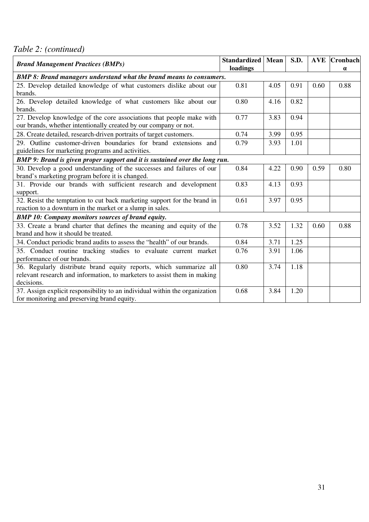*Table 2: (continued)* 

| <b>Brand Management Practices (BMPs)</b>                                    | <b>Standardized</b> Mean<br>loadings |      | S.D. |      | <b>AVE</b> Cronbach<br>$\alpha$ |
|-----------------------------------------------------------------------------|--------------------------------------|------|------|------|---------------------------------|
| <b>BMP 8: Brand managers understand what the brand means to consumers.</b>  |                                      |      |      |      |                                 |
| 25. Develop detailed knowledge of what customers dislike about our          | 0.81                                 | 4.05 | 0.91 | 0.60 | 0.88                            |
| brands.                                                                     |                                      |      |      |      |                                 |
| 26. Develop detailed knowledge of what customers like about our<br>brands.  | 0.80                                 | 4.16 | 0.82 |      |                                 |
| 27. Develop knowledge of the core associations that people make with        | 0.77                                 | 3.83 | 0.94 |      |                                 |
| our brands, whether intentionally created by our company or not.            |                                      |      |      |      |                                 |
| 28. Create detailed, research-driven portraits of target customers.         | 0.74                                 | 3.99 | 0.95 |      |                                 |
| 29. Outline customer-driven boundaries for brand extensions and             | 0.79                                 | 3.93 | 1.01 |      |                                 |
| guidelines for marketing programs and activities.                           |                                      |      |      |      |                                 |
| BMP 9: Brand is given proper support and it is sustained over the long run. |                                      |      |      |      |                                 |
| 30. Develop a good understanding of the successes and failures of our       | 0.84                                 | 4.22 | 0.90 | 0.59 | 0.80                            |
| brand's marketing program before it is changed.                             |                                      |      |      |      |                                 |
| 31. Provide our brands with sufficient research and development             | 0.83                                 | 4.13 | 0.93 |      |                                 |
| support.                                                                    |                                      |      |      |      |                                 |
| 32. Resist the temptation to cut back marketing support for the brand in    | 0.61                                 | 3.97 | 0.95 |      |                                 |
| reaction to a downturn in the market or a slump in sales.                   |                                      |      |      |      |                                 |
| <b>BMP 10: Company monitors sources of brand equity.</b>                    |                                      |      |      |      |                                 |
| 33. Create a brand charter that defines the meaning and equity of the       | 0.78                                 | 3.52 | 1.32 | 0.60 | 0.88                            |
| brand and how it should be treated.                                         |                                      |      |      |      |                                 |
| 34. Conduct periodic brand audits to assess the "health" of our brands.     | 0.84                                 | 3.71 | 1.25 |      |                                 |
| 35. Conduct routine tracking studies to evaluate current market             | 0.76                                 | 3.91 | 1.06 |      |                                 |
| performance of our brands.                                                  |                                      |      |      |      |                                 |
| 36. Regularly distribute brand equity reports, which summarize all          | 0.80                                 | 3.74 | 1.18 |      |                                 |
| relevant research and information, to marketers to assist them in making    |                                      |      |      |      |                                 |
| decisions.                                                                  |                                      |      |      |      |                                 |
| 37. Assign explicit responsibility to an individual within the organization | 0.68                                 | 3.84 | 1.20 |      |                                 |
| for monitoring and preserving brand equity.                                 |                                      |      |      |      |                                 |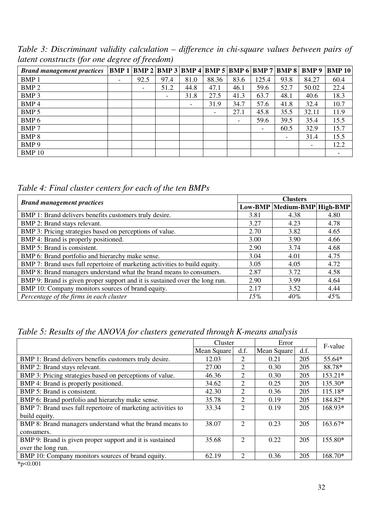*Table 3: Discriminant validity calculation – difference in chi-square values between pairs of latent constructs (for one degree of freedom)* 

| <b>Brand management practices</b> |                          |      |                          |                          |       |      |                          |      |       | BMP 1   BMP 2   BMP 3   BMP 4   BMP 5   BMP 6   BMP 7   BMP 8   BMP 9   BMP 10 |
|-----------------------------------|--------------------------|------|--------------------------|--------------------------|-------|------|--------------------------|------|-------|--------------------------------------------------------------------------------|
| <b>BMP1</b>                       | $\overline{\phantom{a}}$ | 92.5 | 97.4                     | 81.0                     | 88.36 | 83.6 | 125.4                    | 93.8 | 84.27 | 60.4                                                                           |
| BMP <sub>2</sub>                  |                          |      | 51.2                     | 44.8                     | 47.1  | 46.1 | 59.6                     | 52.7 | 50.02 | 22.4                                                                           |
| BMP <sub>3</sub>                  |                          |      | $\overline{\phantom{a}}$ | 31.8                     | 27.5  | 41.3 | 63.7                     | 48.1 | 40.6  | 18.3                                                                           |
| BMP <sub>4</sub>                  |                          |      |                          | $\overline{\phantom{a}}$ | 31.9  | 34.7 | 57.6                     | 41.8 | 32.4  | 10.7                                                                           |
| BMP <sub>5</sub>                  |                          |      |                          |                          |       | 27.1 | 45.8                     | 35.5 | 32.11 | 11.9                                                                           |
| BMP <sub>6</sub>                  |                          |      |                          |                          |       | -    | 59.6                     | 39.5 | 35.4  | 15.5                                                                           |
| <b>BMP7</b>                       |                          |      |                          |                          |       |      | $\overline{\phantom{a}}$ | 60.5 | 32.9  | 15.7                                                                           |
| <b>BMP8</b>                       |                          |      |                          |                          |       |      |                          |      | 31.4  | 15.5                                                                           |
| BMP 9                             |                          |      |                          |                          |       |      |                          |      |       | 12.2                                                                           |
| <b>BMP10</b>                      |                          |      |                          |                          |       |      |                          |      |       | $\overline{\phantom{0}}$                                                       |

*Table 4: Final cluster centers for each of the ten BMPs* 

| <b>Brand management practices</b>                                           |      | <b>Clusters</b>             |      |  |  |  |
|-----------------------------------------------------------------------------|------|-----------------------------|------|--|--|--|
|                                                                             |      | Low-BMP Medium-BMP High-BMP |      |  |  |  |
| BMP 1: Brand delivers benefits customers truly desire.                      | 3.81 | 4.38                        | 4.80 |  |  |  |
| BMP 2: Brand stays relevant.                                                | 3.27 | 4.23                        | 4.78 |  |  |  |
| BMP 3: Pricing strategies based on perceptions of value.                    | 2.70 | 3.82                        | 4.65 |  |  |  |
| BMP 4: Brand is properly positioned.                                        | 3.00 | 3.90                        | 4.66 |  |  |  |
| BMP 5: Brand is consistent.                                                 | 2.90 | 3.74                        | 4.68 |  |  |  |
| BMP 6: Brand portfolio and hierarchy make sense.                            | 3.04 | 4.01                        | 4.75 |  |  |  |
| BMP 7: Brand uses full repertoire of marketing activities to build equity.  | 3.05 | 4.05                        | 4.72 |  |  |  |
| BMP 8: Brand managers understand what the brand means to consumers.         | 2.87 | 3.72                        | 4.58 |  |  |  |
| BMP 9: Brand is given proper support and it is sustained over the long run. | 2.90 | 3.99                        | 4.64 |  |  |  |
| BMP 10: Company monitors sources of brand equity.                           | 2.17 | 3.52                        | 4.44 |  |  |  |
| Percentage of the firms in each cluster                                     | 15%  | 40%                         | 45%  |  |  |  |

*Table 5: Results of the ANOVA for clusters generated through K-means analysis* 

|                                                              | Cluster     |                | Error       |      | F-value   |
|--------------------------------------------------------------|-------------|----------------|-------------|------|-----------|
|                                                              | Mean Square | d.f.           | Mean Square | d.f. |           |
| BMP 1: Brand delivers benefits customers truly desire.       | 12.03       | 2              | 0.21        | 205  | 55.64*    |
| BMP 2: Brand stays relevant.                                 | 27.00       | $\overline{2}$ | 0.30        | 205  | 88.78*    |
| BMP 3: Pricing strategies based on perceptions of value.     | 46.36       | 2              | 0.30        | 205  | $153.21*$ |
| BMP 4: Brand is properly positioned.                         | 34.62       | 2              | 0.25        | 205  | 135.30*   |
| BMP 5: Brand is consistent.                                  | 42.30       | 2              | 0.36        | 205  | 115.18*   |
| BMP 6: Brand portfolio and hierarchy make sense.             | 35.78       | $\overline{2}$ | 0.19        | 205  | 184.82*   |
| BMP 7: Brand uses full repertoire of marketing activities to | 33.34       | 2              | 0.19        | 205  | 168.93*   |
| build equity.                                                |             |                |             |      |           |
| BMP 8: Brand managers understand what the brand means to     | 38.07       | $\overline{2}$ | 0.23        | 205  | 163.67*   |
| consumers.                                                   |             |                |             |      |           |
| BMP 9: Brand is given proper support and it is sustained     | 35.68       | $\overline{2}$ | 0.22        | 205  | 155.80*   |
| over the long run.                                           |             |                |             |      |           |
| BMP 10: Company monitors sources of brand equity.            | 62.19       | 2              | 0.36        | 205  | 168.70*   |
| $\sim$ 0.001                                                 |             |                |             |      |           |

**\***p<0.001